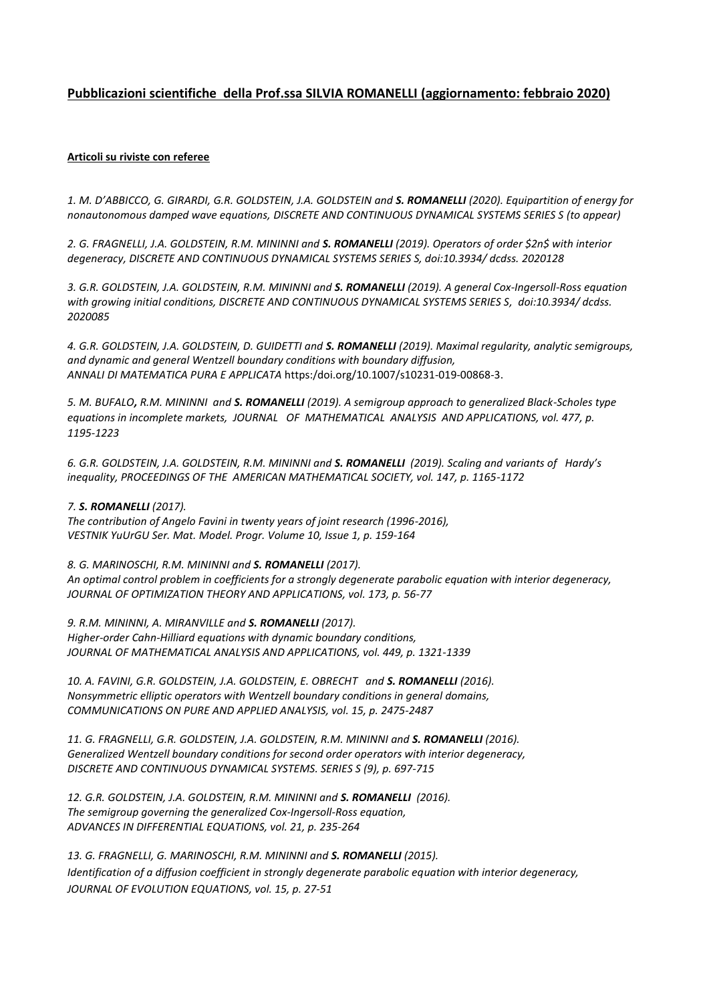# **Pubblicazioni scientifiche della Prof.ssa SILVIA ROMANELLI (aggiornamento: febbraio 2020)**

## **Articoli su riviste con referee**

*1. M. D'ABBICCO, G. GIRARDI, G.R. GOLDSTEIN, J.A. GOLDSTEIN and S. ROMANELLI (2020). Equipartition of energy for nonautonomous damped wave equations, DISCRETE AND CONTINUOUS DYNAMICAL SYSTEMS SERIES S (to appear)*

*2. G. FRAGNELLI, J.A. GOLDSTEIN, R.M. MININNI and S. ROMANELLI (2019). Operators of order \$2n\$ with interior degeneracy, DISCRETE AND CONTINUOUS DYNAMICAL SYSTEMS SERIES S, doi:10.3934/ dcdss. 2020128* 

*3. G.R. GOLDSTEIN, J.A. GOLDSTEIN, R.M. MININNI and S. ROMANELLI (2019). A general Cox-Ingersoll-Ross equation with growing initial conditions, DISCRETE AND CONTINUOUS DYNAMICAL SYSTEMS SERIES S, doi:10.3934/ dcdss. 2020085* 

*4. G.R. GOLDSTEIN, J.A. GOLDSTEIN, D. GUIDETTI and S. ROMANELLI (2019). Maximal regularity, analytic semigroups, and dynamic and general Wentzell boundary conditions with boundary diffusion, ANNALI DI MATEMATICA PURA E APPLICATA* https:/doi.org/10.1007/s10231-019-00868-3.

*5. M. BUFALO, R.M. MININNI and S. ROMANELLI (2019). A semigroup approach to generalized Black-Scholes type*  equations in incomplete markets, JOURNAL OF MATHEMATICAL ANALYSIS AND APPLICATIONS, vol. 477, p. *1195-1223*

*6. G.R. GOLDSTEIN, J.A. GOLDSTEIN, R.M. MININNI and S. ROMANELLI (2019). Scaling and variants of Hardy's inequality, PROCEEDINGS OF THE AMERICAN MATHEMATICAL SOCIETY, vol. 147, p. 1165-1172*

### *7. S. ROMANELLI (2017).*

*The contribution of Angelo Favini in twenty years of joint research (1996-2016), VESTNIK YuUrGU Ser. Mat. Model. Progr. Volume 10, Issue 1, p. 159-164*

### *8. G. MARINOSCHI, R.M. MININNI and S. ROMANELLI (2017).*

*An optimal control problem in coefficients for a strongly degenerate parabolic equation with interior degeneracy, JOURNAL OF OPTIMIZATION THEORY AND APPLICATIONS, vol. 173, p. 56-77*

*9. R.M. MININNI, A. MIRANVILLE and S. ROMANELLI (2017). Higher-order Cahn-Hilliard equations with dynamic boundary conditions, JOURNAL OF MATHEMATICAL ANALYSIS AND APPLICATIONS, vol. 449, p. 1321-1339* 

10. A. FAVINI, G.R. GOLDSTEIN, J.A. GOLDSTEIN, E. OBRECHT and **S. ROMANELLI** (2016). *Nonsymmetric elliptic operators with Wentzell boundary conditions in general domains, COMMUNICATIONS ON PURE AND APPLIED ANALYSIS, vol. 15, p. 2475-2487*

11. G. FRAGNELLI, G.R. GOLDSTEIN, J.A. GOLDSTEIN, R.M. MININNI and **S. ROMANELLI** (2016). *Generalized Wentzell boundary conditions for second order operators with interior degeneracy, DISCRETE AND CONTINUOUS DYNAMICAL SYSTEMS. SERIES S (9), p. 697-715*

*12. G.R. GOLDSTEIN, J.A. GOLDSTEIN, R.M. MININNI and S. ROMANELLI (2016). The semigroup governing the generalized Cox-Ingersoll-Ross equation, ADVANCES IN DIFFERENTIAL EQUATIONS, vol. 21, p. 235-264*

*13. G. FRAGNELLI, G. MARINOSCHI, R.M. MININNI and S. ROMANELLI (2015). Identification of a diffusion coefficient in strongly degenerate parabolic equation with interior degeneracy, JOURNAL OF EVOLUTION EQUATIONS, vol. 15, p. 27-51*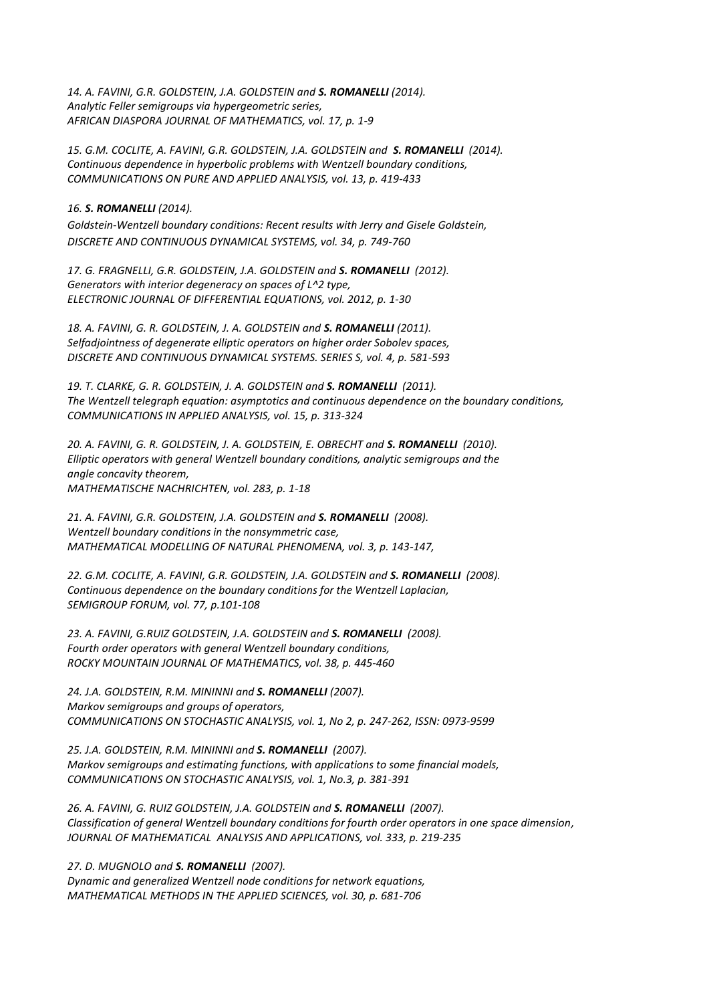*14. A. FAVINI, G.R. GOLDSTEIN, J.A. GOLDSTEIN and S. ROMANELLI (2014). Analytic Feller semigroups via hypergeometric series, AFRICAN DIASPORA JOURNAL OF MATHEMATICS, vol. 17, p. 1-9*

15. G.M. COCLITE, A. FAVINI, G.R. GOLDSTEIN, J.A. GOLDSTEIN and **S. ROMANELLI** (2014). *Continuous dependence in hyperbolic problems with Wentzell boundary conditions, COMMUNICATIONS ON PURE AND APPLIED ANALYSIS, vol. 13, p. 419-433*

#### *16. S. ROMANELLI (2014).*

*Goldstein-Wentzell boundary conditions: Recent results with Jerry and Gisele Goldstein, DISCRETE AND CONTINUOUS DYNAMICAL SYSTEMS, vol. 34, p. 749-760*

*17. G. FRAGNELLI, G.R. GOLDSTEIN, J.A. GOLDSTEIN and S. ROMANELLI (2012). Generators with interior degeneracy on spaces of L^2 type, ELECTRONIC JOURNAL OF DIFFERENTIAL EQUATIONS, vol. 2012, p. 1-30*

*18. A. FAVINI, G. R. GOLDSTEIN, J. A. GOLDSTEIN and S. ROMANELLI (2011). Selfadjointness of degenerate elliptic operators on higher order Sobolev spaces, DISCRETE AND CONTINUOUS DYNAMICAL SYSTEMS. SERIES S, vol. 4, p. 581-593*

*19. T. CLARKE, G. R. GOLDSTEIN, J. A. GOLDSTEIN and S. ROMANELLI (2011). The Wentzell telegraph equation: asymptotics and continuous dependence on the boundary conditions, COMMUNICATIONS IN APPLIED ANALYSIS, vol. 15, p. 313-324*

*20. A. FAVINI, G. R. GOLDSTEIN, J. A. GOLDSTEIN, E. OBRECHT and S. ROMANELLI (2010). Elliptic operators with general Wentzell boundary conditions, analytic semigroups and the angle concavity theorem, MATHEMATISCHE NACHRICHTEN, vol. 283, p. 1-18*

*21. A. FAVINI, G.R. GOLDSTEIN, J.A. GOLDSTEIN and S. ROMANELLI (2008). Wentzell boundary conditions in the nonsymmetric case, MATHEMATICAL MODELLING OF NATURAL PHENOMENA, vol. 3, p. 143-147,*

*22. G.M. COCLITE, A. FAVINI, G.R. GOLDSTEIN, J.A. GOLDSTEIN and S. ROMANELLI (2008). Continuous dependence on the boundary conditions for the Wentzell Laplacian, SEMIGROUP FORUM, vol. 77, p.101-108*

*23. A. FAVINI, G.RUIZ GOLDSTEIN, J.A. GOLDSTEIN and S. ROMANELLI (2008). Fourth order operators with general Wentzell boundary conditions, ROCKY MOUNTAIN JOURNAL OF MATHEMATICS, vol. 38, p. 445-460*

*24. J.A. GOLDSTEIN, R.M. MININNI and S. ROMANELLI (2007). Markov semigroups and groups of operators, COMMUNICATIONS ON STOCHASTIC ANALYSIS, vol. 1, No 2, p. 247-262, ISSN: 0973-9599*

*25. J.A. GOLDSTEIN, R.M. MININNI and S. ROMANELLI (2007). Markov semigroups and estimating functions, with applications to some financial models, COMMUNICATIONS ON STOCHASTIC ANALYSIS, vol. 1, No.3, p. 381-391*

26. A. FAVINI, G. RUIZ GOLDSTEIN, J.A. GOLDSTEIN and **S. ROMANELLI** (2007). *Classification of general Wentzell boundary conditions for fourth order operators in one space dimension, JOURNAL OF MATHEMATICAL ANALYSIS AND APPLICATIONS, vol. 333, p. 219-235*

*27. D. MUGNOLO and S. ROMANELLI (2007).* 

*Dynamic and generalized Wentzell node conditions for network equations, MATHEMATICAL METHODS IN THE APPLIED SCIENCES, vol. 30, p. 681-706*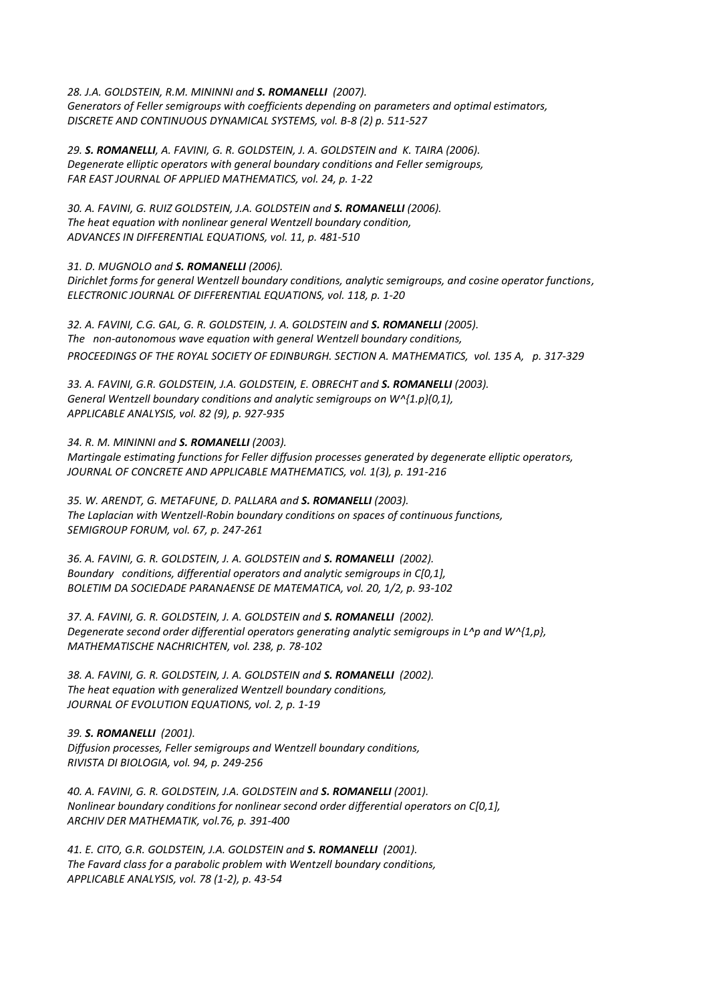*28. J.A. GOLDSTEIN, R.M. MININNI and S. ROMANELLI (2007). Generators of Feller semigroups with coefficients depending on parameters and optimal estimators, DISCRETE AND CONTINUOUS DYNAMICAL SYSTEMS, vol. B-8 (2) p. 511-527*

*29. S. ROMANELLI, A. FAVINI, G. R. GOLDSTEIN, J. A. GOLDSTEIN and K. TAIRA (2006). Degenerate elliptic operators with general boundary conditions and Feller semigroups, FAR EAST JOURNAL OF APPLIED MATHEMATICS, vol. 24, p. 1-22*

*30. A. FAVINI, G. RUIZ GOLDSTEIN, J.A. GOLDSTEIN and S. ROMANELLI (2006). The heat equation with nonlinear general Wentzell boundary condition, ADVANCES IN DIFFERENTIAL EQUATIONS, vol. 11, p. 481-510*

*31. D. MUGNOLO and S. ROMANELLI (2006).* 

*Dirichlet forms for general Wentzell boundary conditions, analytic semigroups, and cosine operator functions, ELECTRONIC JOURNAL OF DIFFERENTIAL EQUATIONS, vol. 118, p. 1-20*

*32. A. FAVINI, C.G. GAL, G. R. GOLDSTEIN, J. A. GOLDSTEIN and S. ROMANELLI (2005). The non-autonomous wave equation with general Wentzell boundary conditions, PROCEEDINGS OF THE ROYAL SOCIETY OF EDINBURGH. SECTION A. MATHEMATICS, vol. 135 A, p. 317-329*

33. A. FAVINI, G.R. GOLDSTEIN, J.A. GOLDSTEIN, E. OBRECHT and **S. ROMANELLI** (2003). *General Wentzell boundary conditions and analytic semigroups on W^{1.p}(0,1), APPLICABLE ANALYSIS, vol. 82 (9), p. 927-935*

*34. R. M. MININNI and S. ROMANELLI (2003). Martingale estimating functions for Feller diffusion processes generated by degenerate elliptic operators, JOURNAL OF CONCRETE AND APPLICABLE MATHEMATICS, vol. 1(3), p. 191-216*

*35. W. ARENDT, G. METAFUNE, D. PALLARA and S. ROMANELLI (2003). The Laplacian with Wentzell-Robin boundary conditions on spaces of continuous functions, SEMIGROUP FORUM, vol. 67, p. 247-261*

*36. A. FAVINI, G. R. GOLDSTEIN, J. A. GOLDSTEIN and S. ROMANELLI (2002). Boundary conditions, differential operators and analytic semigroups in C[0,1], BOLETIM DA SOCIEDADE PARANAENSE DE MATEMATICA, vol. 20, 1/2, p. 93-102*

*37. A. FAVINI, G. R. GOLDSTEIN, J. A. GOLDSTEIN and S. ROMANELLI (2002). Degenerate second order differential operators generating analytic semigroups in L^p and W^{1,p}, MATHEMATISCHE NACHRICHTEN, vol. 238, p. 78-102*

*38. A. FAVINI, G. R. GOLDSTEIN, J. A. GOLDSTEIN and S. ROMANELLI (2002). The heat equation with generalized Wentzell boundary conditions, JOURNAL OF EVOLUTION EQUATIONS, vol. 2, p. 1-19*

*39. S. ROMANELLI (2001).* 

*Diffusion processes, Feller semigroups and Wentzell boundary conditions, RIVISTA DI BIOLOGIA, vol. 94, p. 249-256*

*40. A. FAVINI, G. R. GOLDSTEIN, J.A. GOLDSTEIN and S. ROMANELLI (2001). Nonlinear boundary conditions for nonlinear second order differential operators on C[0,1], ARCHIV DER MATHEMATIK, vol.76, p. 391-400*

*41. E. CITO, G.R. GOLDSTEIN, J.A. GOLDSTEIN and S. ROMANELLI (2001). The Favard class for a parabolic problem with Wentzell boundary conditions, APPLICABLE ANALYSIS, vol. 78 (1-2), p. 43-54*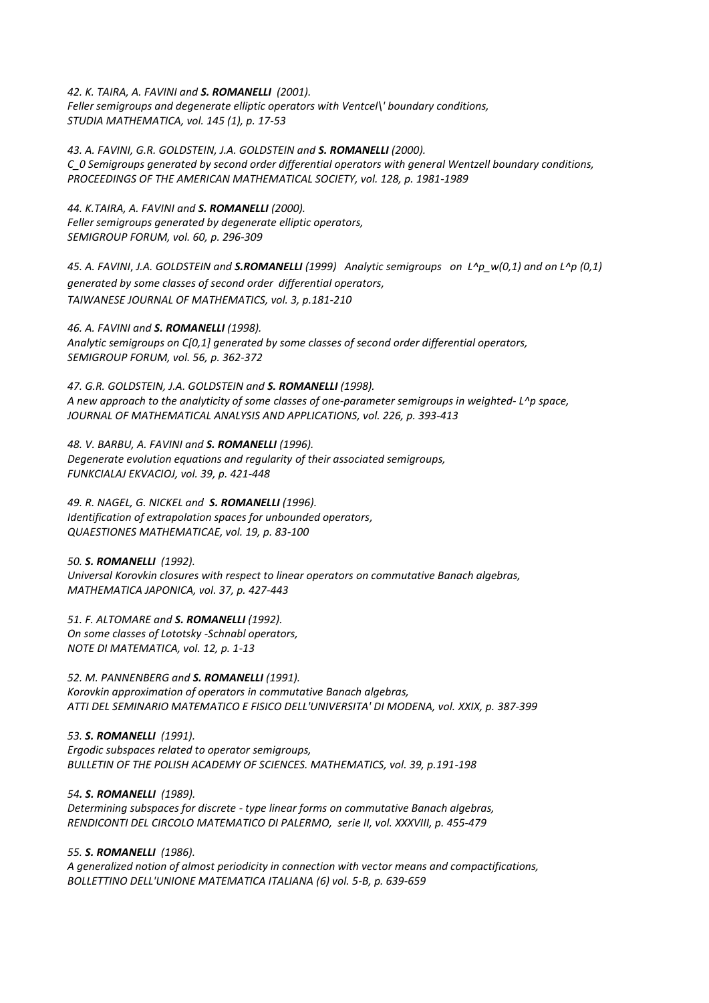*42. K. TAIRA, A. FAVINI and S. ROMANELLI (2001).* 

*Feller semigroups and degenerate elliptic operators with Ventcel\' boundary conditions, STUDIA MATHEMATICA, vol. 145 (1), p. 17-53*

*43. A. FAVINI, G.R. GOLDSTEIN, J.A. GOLDSTEIN and S. ROMANELLI (2000). C\_0 Semigroups generated by second order differential operators with general Wentzell boundary conditions, PROCEEDINGS OF THE AMERICAN MATHEMATICAL SOCIETY, vol. 128, p. 1981-1989*

*44. K.TAIRA, A. FAVINI and S. ROMANELLI (2000). Feller semigroups generated by degenerate elliptic operators, SEMIGROUP FORUM, vol. 60, p. 296-309*

*45. A. FAVINI*, *J.A. GOLDSTEIN and S.ROMANELLI (1999) Analytic semigroups on L^p\_w(0,1) and on L^p (0,1) generated by some classes of second order differential operators, TAIWANESE JOURNAL OF MATHEMATICS, vol. 3, p.181-210* 

*46. A. FAVINI and S. ROMANELLI (1998). Analytic semigroups on C[0,1] generated by some classes of second order differential operators, SEMIGROUP FORUM, vol. 56, p. 362-372*

*47. G.R. GOLDSTEIN, J.A. GOLDSTEIN and S. ROMANELLI (1998). A new approach to the analyticity of some classes of one-parameter semigroups in weighted- L^p space, JOURNAL OF MATHEMATICAL ANALYSIS AND APPLICATIONS, vol. 226, p. 393-413*

*48. V. BARBU, A. FAVINI and S. ROMANELLI (1996). Degenerate evolution equations and regularity of their associated semigroups, FUNKCIALAJ EKVACIOJ, vol. 39, p. 421-448*

*49. R. NAGEL, G. NICKEL and S. ROMANELLI (1996). Identification of extrapolation spaces for unbounded operators, QUAESTIONES MATHEMATICAE, vol. 19, p. 83-100*

*50. S. ROMANELLI (1992). Universal Korovkin closures with respect to linear operators on commutative Banach algebras, MATHEMATICA JAPONICA, vol. 37, p. 427-443*

*51. F. ALTOMARE and S. ROMANELLI (1992). On some classes of Lototsky -Schnabl operators, NOTE DI MATEMATICA, vol. 12, p. 1-13*

*52. M. PANNENBERG and S. ROMANELLI (1991).* 

*Korovkin approximation of operators in commutative Banach algebras, ATTI DEL SEMINARIO MATEMATICO E FISICO DELL'UNIVERSITA' DI MODENA, vol. XXIX, p. 387-399*

*53. S. ROMANELLI (1991). Ergodic subspaces related to operator semigroups, BULLETIN OF THE POLISH ACADEMY OF SCIENCES. MATHEMATICS, vol. 39, p.191-198*

*54. S. ROMANELLI (1989).* 

*Determining subspaces for discrete - type linear forms on commutative Banach algebras, RENDICONTI DEL CIRCOLO MATEMATICO DI PALERMO, serie II, vol. XXXVIII, p. 455-479*

*55. S. ROMANELLI (1986).* 

*A generalized notion of almost periodicity in connection with vector means and compactifications, BOLLETTINO DELL'UNIONE MATEMATICA ITALIANA (6) vol. 5-B, p. 639-659*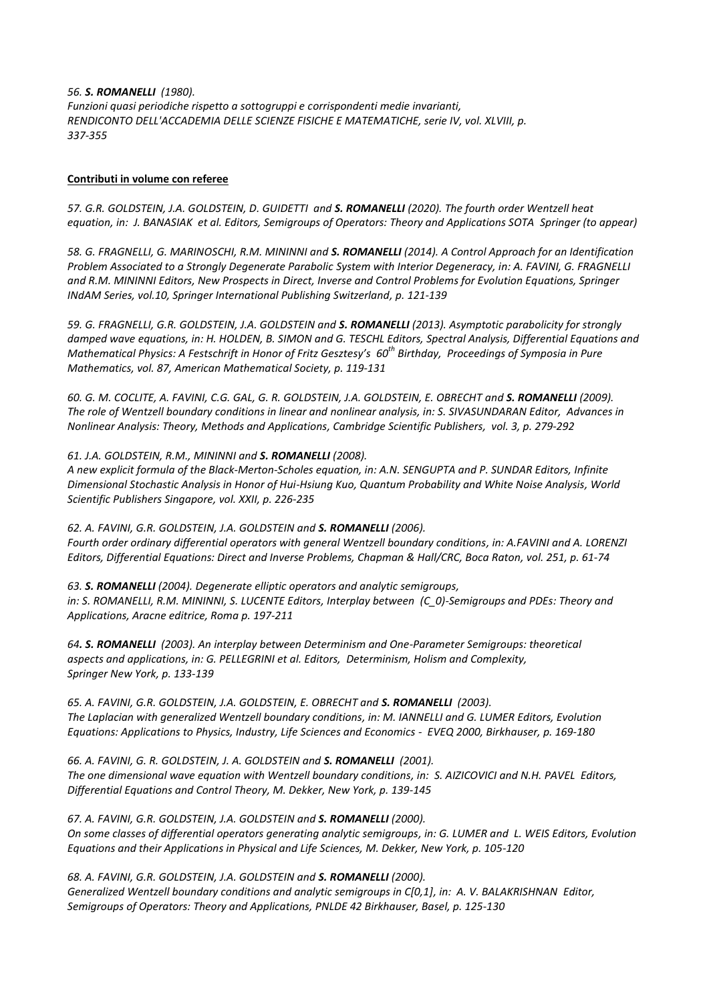*56. S. ROMANELLI (1980). Funzioni quasi periodiche rispetto a sottogruppi e corrispondenti medie invarianti, RENDICONTO DELL'ACCADEMIA DELLE SCIENZE FISICHE E MATEMATICHE, serie IV, vol. XLVIII, p. 337-355*

#### **Contributi in volume con referee**

*57. G.R. GOLDSTEIN, J.A. GOLDSTEIN, D. GUIDETTI and S. ROMANELLI (2020). The fourth order Wentzell heat equation, in: J. BANASIAK et al. Editors, Semigroups of Operators: Theory and Applications SOTA Springer (to appear)*

*58. G. FRAGNELLI, G. MARINOSCHI, R.M. MININNI and S. ROMANELLI (2014). A Control Approach for an Identification Problem Associated to a Strongly Degenerate Parabolic System with Interior Degeneracy, in: A. FAVINI, G. FRAGNELLI and R.M. MININNI Editors, New Prospects in Direct, Inverse and Control Problems for Evolution Equations, Springer INdAM Series, vol.10, Springer International Publishing Switzerland, p. 121-139* 

*59. G. FRAGNELLI, G.R. GOLDSTEIN, J.A. GOLDSTEIN and S. ROMANELLI (2013). Asymptotic parabolicity for strongly damped wave equations, in: H. HOLDEN, B. SIMON and G. TESCHL Editors, Spectral Analysis, Differential Equations and Mathematical Physics: A Festschrift in Honor of Fritz Gesztesy's 60th Birthday, Proceedings of Symposia in Pure Mathematics, vol. 87, American Mathematical Society, p. 119-131* 

*60. G. M. COCLITE, A. FAVINI, C.G. GAL, G. R. GOLDSTEIN, J.A. GOLDSTEIN, E. OBRECHT and S. ROMANELLI (2009). The role of Wentzell boundary conditions in linear and nonlinear analysis, in: S. SIVASUNDARAN Editor, Advances in Nonlinear Analysis: Theory, Methods and Applications, Cambridge Scientific Publishers, vol. 3, p. 279-292*

### *61. J.A. GOLDSTEIN, R.M., MININNI and S. ROMANELLI (2008).*

*A new explicit formula of the Black-Merton-Scholes equation, in: A.N. SENGUPTA and P. SUNDAR Editors, Infinite Dimensional Stochastic Analysis in Honor of Hui-Hsiung Kuo, Quantum Probability and White Noise Analysis, World Scientific Publishers Singapore, vol. XXII, p. 226-235*

*62. A. FAVINI, G.R. GOLDSTEIN, J.A. GOLDSTEIN and S. ROMANELLI (2006). Fourth order ordinary differential operators with general Wentzell boundary conditions, in: A.FAVINI and A. LORENZI Editors, Differential Equations: Direct and Inverse Problems, Chapman & Hall/CRC, Boca Raton, vol. 251, p. 61-74*

### *63. S. ROMANELLI (2004). Degenerate elliptic operators and analytic semigroups, in: S. ROMANELLI, R.M. MININNI, S. LUCENTE Editors, Interplay between (C\_0)-Semigroups and PDEs: Theory and Applications, Aracne editrice, Roma p. 197-211*

*64. S. ROMANELLI (2003). An interplay between Determinism and One-Parameter Semigroups: theoretical aspects and applications, in: G. PELLEGRINI et al. Editors, Determinism, Holism and Complexity, Springer New York, p. 133-139*

*65. A. FAVINI, G.R. GOLDSTEIN, J.A. GOLDSTEIN, E. OBRECHT and S. ROMANELLI (2003). The Laplacian with generalized Wentzell boundary conditions, in: M. IANNELLI and G. LUMER Editors, Evolution Equations: Applications to Physics, Industry, Life Sciences and Economics - EVEQ 2000, Birkhauser, p. 169-180* 

*66. A. FAVINI, G. R. GOLDSTEIN, J. A. GOLDSTEIN and S. ROMANELLI (2001). The one dimensional wave equation with Wentzell boundary conditions, in: S. AIZICOVICI and N.H. PAVEL Editors, Differential Equations and Control Theory, M. Dekker, New York, p. 139-145*

*67. A. FAVINI, G.R. GOLDSTEIN, J.A. GOLDSTEIN and S. ROMANELLI (2000).*

*On some classes of differential operators generating analytic semigroups, in: G. LUMER and L. WEIS Editors, Evolution Equations and their Applications in Physical and Life Sciences, M. Dekker, New York, p. 105-120*

*68. A. FAVINI, G.R. GOLDSTEIN, J.A. GOLDSTEIN and S. ROMANELLI (2000). Generalized Wentzell boundary conditions and analytic semigroups in C[0,1], in: A. V. BALAKRISHNAN Editor, Semigroups of Operators: Theory and Applications, PNLDE 42 Birkhauser, Basel, p. 125-130*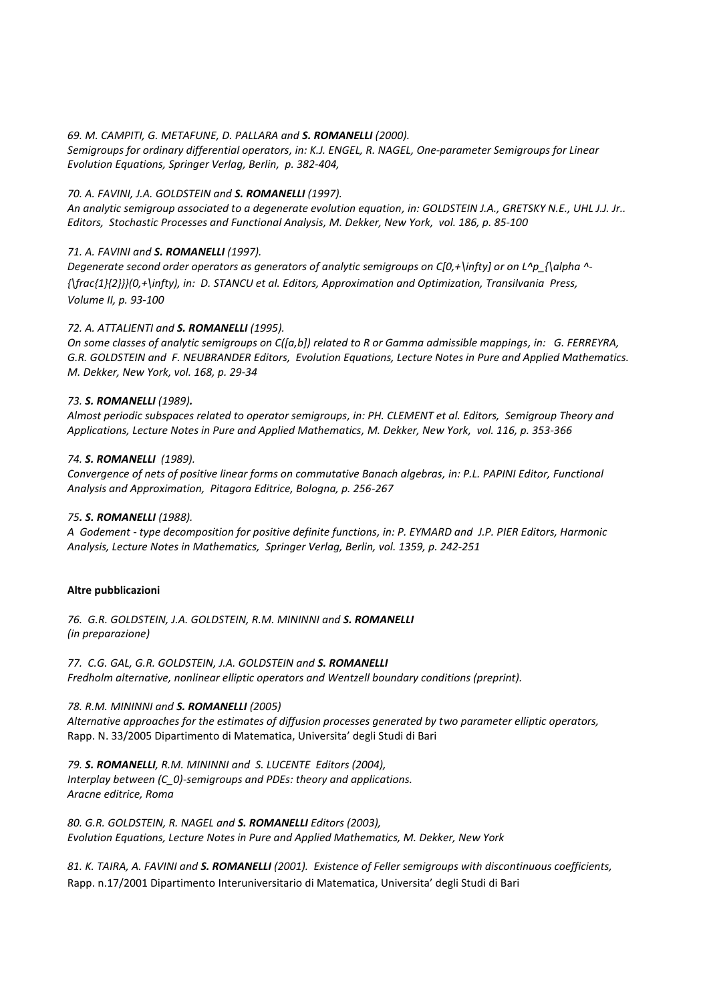## *69. M. CAMPITI, G. METAFUNE, D. PALLARA and S. ROMANELLI (2000).*

*Semigroups for ordinary differential operators, in: K.J. ENGEL, R. NAGEL, One-parameter Semigroups for Linear Evolution Equations, Springer Verlag, Berlin, p. 382-404,*

## *70. A. FAVINI, J.A. GOLDSTEIN and S. ROMANELLI (1997).*

*An analytic semigroup associated to a degenerate evolution equation, in: GOLDSTEIN J.A., GRETSKY N.E., UHL J.J. Jr.. Editors, Stochastic Processes and Functional Analysis, M. Dekker, New York, vol. 186, p. 85-100*

## *71. A. FAVINI and S. ROMANELLI (1997).*

*Degenerate second order operators as generators of analytic semigroups on C[0,+\infty] or on L^p\_{\alpha ^- {\frac{1}{2}}}(0,+\infty), in: D. STANCU et al. Editors, Approximation and Optimization, Transilvania Press, Volume II, p. 93-100*

## *72. A. ATTALIENTI and S. ROMANELLI (1995).*

*On some classes of analytic semigroups on C([a,b]) related to R or Gamma admissible mappings, in: G. FERREYRA, G.R. GOLDSTEIN and F. NEUBRANDER Editors, Evolution Equations, Lecture Notes in Pure and Applied Mathematics. M. Dekker, New York, vol. 168, p. 29-34*

## *73. S. ROMANELLI (1989).*

*Almost periodic subspaces related to operator semigroups, in: PH. CLEMENT et al. Editors, Semigroup Theory and Applications, Lecture Notes in Pure and Applied Mathematics, M. Dekker, New York, vol. 116, p. 353-366*

### *74. S. ROMANELLI (1989).*

*Convergence of nets of positive linear forms on commutative Banach algebras, in: P.L. PAPINI Editor, Functional Analysis and Approximation, Pitagora Editrice, Bologna, p. 256-267*

## *75. S. ROMANELLI (1988).*

*A Godement - type decomposition for positive definite functions, in: P. EYMARD and J.P. PIER Editors, Harmonic Analysis, Lecture Notes in Mathematics, Springer Verlag, Berlin, vol. 1359, p. 242-251*

### **Altre pubblicazioni**

*76. G.R. GOLDSTEIN, J.A. GOLDSTEIN, R.M. MININNI and S. ROMANELLI (in preparazione)*

*77. C.G. GAL, G.R. GOLDSTEIN, J.A. GOLDSTEIN and S. ROMANELLI Fredholm alternative, nonlinear elliptic operators and Wentzell boundary conditions (preprint).*

### *78. R.M. MININNI and S. ROMANELLI (2005)*

*Alternative approaches for the estimates of diffusion processes generated by two parameter elliptic operators,* Rapp. N. 33/2005 Dipartimento di Matematica, Universita' degli Studi di Bari

*79. S. ROMANELLI, R.M. MININNI and S. LUCENTE Editors (2004), Interplay between (C\_0)-semigroups and PDEs: theory and applications. Aracne editrice, Roma*

*80. G.R. GOLDSTEIN, R. NAGEL and S. ROMANELLI Editors (2003), Evolution Equations, Lecture Notes in Pure and Applied Mathematics, M. Dekker, New York*

*81. K. TAIRA, A. FAVINI and S. ROMANELLI (2001). Existence of Feller semigroups with discontinuous coefficients,*  Rapp. n.17/2001 Dipartimento Interuniversitario di Matematica, Universita' degli Studi di Bari